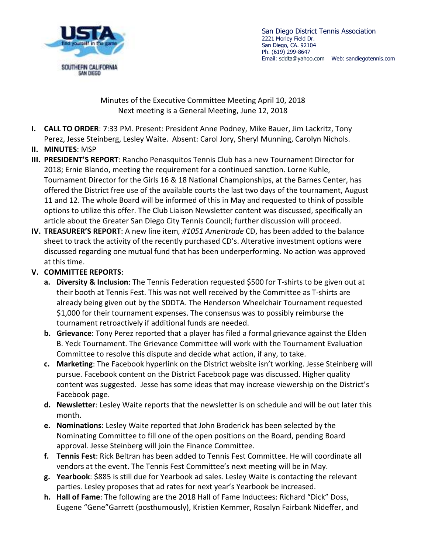



Minutes of the Executive Committee Meeting April 10, 2018 Next meeting is a General Meeting, June 12, 2018

- **I. CALL TO ORDER**: 7:33 PM. Present: President Anne Podney, Mike Bauer, Jim Lackritz, Tony Perez, Jesse Steinberg, Lesley Waite. Absent: Carol Jory, Sheryl Munning, Carolyn Nichols.
- **II. MINUTES**: MSP
- **III. PRESIDENT'S REPORT**: Rancho Penasquitos Tennis Club has a new Tournament Director for 2018; Ernie Blando, meeting the requirement for a continued sanction. Lorne Kuhle, Tournament Director for the Girls 16 & 18 National Championships, at the Barnes Center, has offered the District free use of the available courts the last two days of the tournament, August 11 and 12. The whole Board will be informed of this in May and requested to think of possible options to utilize this offer. The Club Liaison Newsletter content was discussed, specifically an article about the Greater San Diego City Tennis Council; further discussion will proceed.
- **IV. TREASURER'S REPORT**: A new line item*, #1051 Ameritrade* CD, has been added to the balance sheet to track the activity of the recently purchased CD's. Alterative investment options were discussed regarding one mutual fund that has been underperforming. No action was approved at this time.

## **V. COMMITTEE REPORTS**:

- **a. Diversity & Inclusion**: The Tennis Federation requested \$500 for T-shirts to be given out at their booth at Tennis Fest. This was not well received by the Committee as T-shirts are already being given out by the SDDTA. The Henderson Wheelchair Tournament requested \$1,000 for their tournament expenses. The consensus was to possibly reimburse the tournament retroactively if additional funds are needed.
- **b. Grievance**: Tony Perez reported that a player has filed a formal grievance against the Elden B. Yeck Tournament. The Grievance Committee will work with the Tournament Evaluation Committee to resolve this dispute and decide what action, if any, to take.
- **c. Marketing**: The Facebook hyperlink on the District website isn't working. Jesse Steinberg will pursue. Facebook content on the District Facebook page was discussed. Higher quality content was suggested. Jesse has some ideas that may increase viewership on the District's Facebook page.
- **d. Newsletter**: Lesley Waite reports that the newsletter is on schedule and will be out later this month.
- **e. Nominations**: Lesley Waite reported that John Broderick has been selected by the Nominating Committee to fill one of the open positions on the Board, pending Board approval. Jesse Steinberg will join the Finance Committee.
- **f. Tennis Fest**: Rick Beltran has been added to Tennis Fest Committee. He will coordinate all vendors at the event. The Tennis Fest Committee's next meeting will be in May.
- **g. Yearbook**: \$885 is still due for Yearbook ad sales. Lesley Waite is contacting the relevant parties. Lesley proposes that ad rates for next year's Yearbook be increased.
- **h. Hall of Fame**: The following are the 2018 Hall of Fame Inductees: Richard "Dick" Doss, Eugene "Gene"Garrett (posthumously), Kristien Kemmer, Rosalyn Fairbank Nideffer, and